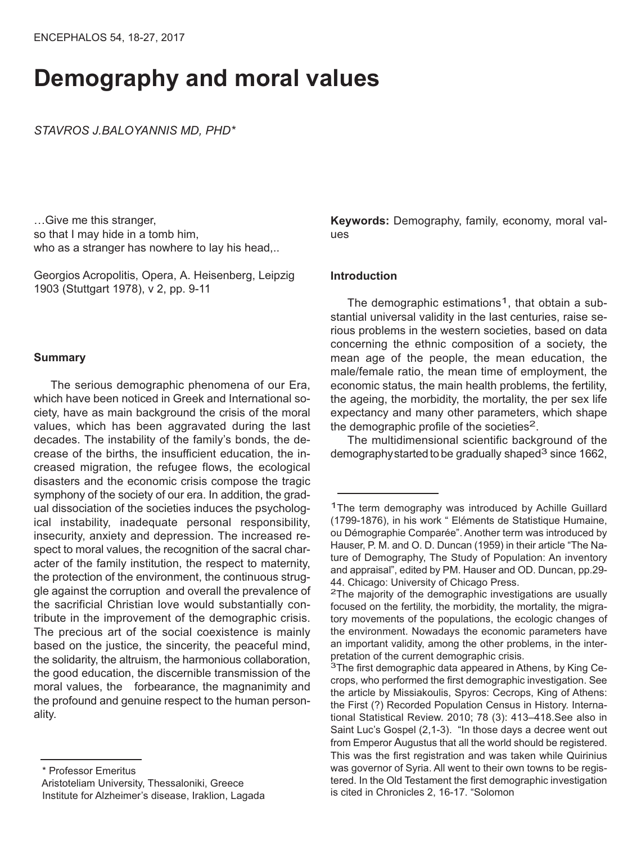# **Demography and moral values**

*STAVROS J.BALOYANNIS MD, PHD\**

…Give me this stranger, so that I may hide in a tomb him, who as a stranger has nowhere to lay his head,..

Georgios Acropolitis, Οpera, Α. Heisenberg, Leipzig 1903 (Stuttgart 1978), v 2, pp. 9-11

# **Summary**

The serious demographic phenomena of our Era, which have been noticed in Greek and International society, have as main background the crisis of the moral values, which has been aggravated during the last decades. The instability of the family's bonds, the decrease of the births, the insufficient education, the increased migration, the refugee flows, the ecological disasters and the economic crisis compose the tragic symphony of the society of our era. In addition, the gradual dissociation of the societies induces the psychological instability, inadequate personal responsibility, insecurity, anxiety and depression. The increased respect to moral values, the recognition of the sacral character of the family institution, the respect to maternity, the protection of the environment, the continuous struggle against the corruption and overall the prevalence of the sacrificial Christian love would substantially contribute in the improvement of the demographic crisis. The precious art of the social coexistence is mainly based on the justice, the sincerity, the peaceful mind, the solidarity, the altruism, the harmonious collaboration, the good education, the discernible transmission of the moral values, the forbearance, the magnanimity and the profound and genuine respect to the human personality.

**Keywords:** Demography, family, economy, moral values

# **Introduction**

The demographic estimations<sup>1</sup>, that obtain a substantial universal validity in the last centuries, raise serious problems in the western societies, based on data concerning the ethnic composition of a society, the mean age of the people, the mean education, the male/female ratio, the mean time of employment, the economic status, the main health problems, the fertility, the ageing, the morbidity, the mortality, the per sex life expectancy and many other parameters, which shape the demographic profile of the societies<sup>2</sup>.

The multidimensional scientific background of the demography started to be gradually shaped<sup>3</sup> since 1662,

<sup>\*</sup> Professor Emeritus Aristoteliam University, Thessaloniki, Greece Institute for Alzheimer's disease, Iraklion, Lagada

<sup>&</sup>lt;sup>1</sup>The term demography was introduced by Achille Guillard (1799-1876), in his work " Eléments de Statistique Humaine, ou Démographie Comparée". Another term was introduced by Hauser, P. M. and O. D. Duncan (1959) in their article "The Nature of Demography, The Study of Population: An inventory and appraisal", edited by PM. Hauser and OD. Duncan, pp.29- 44. Chicago: University of Chicago Press.<br><sup>2</sup>The majority of the demographic investigations are usually

focused on the fertility, the morbidity, the mortality, the migratory movements of the populations, the ecologic changes of the environment. Nowadays the economic parameters have an important validity, among the other problems, in the interpretation of the current demographic crisis.<br><sup>3</sup>The first demographic data appeared in Athens, by King Ce-

crops, who performed the first demographic investigation. See the article by Missiakoulis, Spyros: Cecrops, King of Athens: the First (?) Recorded Population Census in History. International Statistical Review. 2010; 78 (3): 413–418.See also in Saint Luc's Gospel (2,1-3). "In those days a decree went out from Emperor Augustus that all the world should be registered. This was the first registration and was taken while Quirinius was governor of Syria. All went to their own towns to be registered. In the Old Testament the first demographic investigation is cited in Chronicles 2, 16-17. "Solomon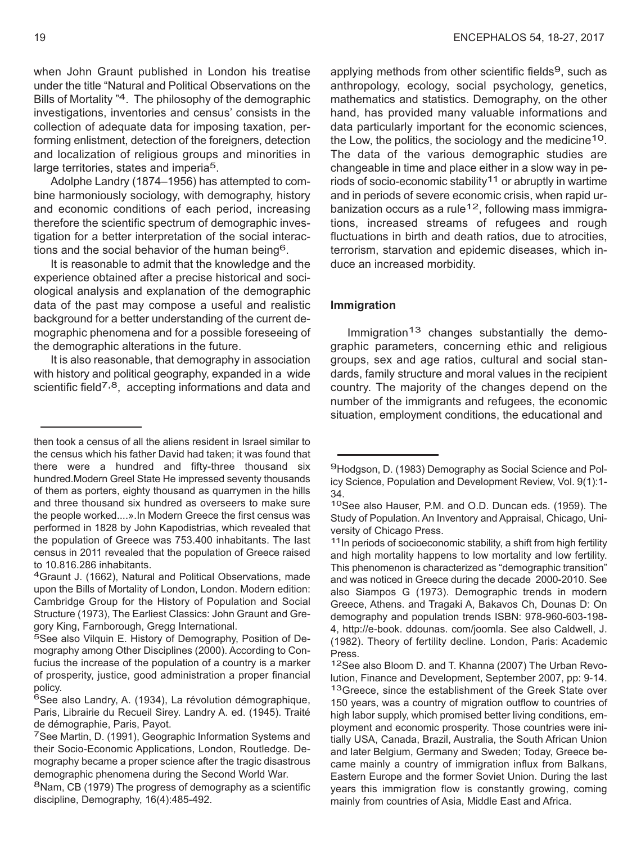when John Graunt published in London his treatise under the title "Natural and Political Observations on the Bills of Mortality "4. The philosophy of the demographic investigations, inventories and census' consists in the collection of adequate data for imposing taxation, performing enlistment, detection of the foreigners, detection and localization of religious groups and minorities in large territories, states and imperia<sup>5</sup>.

Adolphe Landry (1874–1956) has attempted to combine harmoniously sociology, with demography, history and economic conditions of each period, increasing therefore the scientific spectrum of demographic investigation for a better interpretation of the social interactions and the social behavior of the human being6.

It is reasonable to admit that the knowledge and the experience obtained after a precise historical and sociological analysis and explanation of the demographic data of the past may compose a useful and realistic background for a better understanding of the current demographic phenomena and for a possible foreseeing of the demographic alterations in the future.

It is also reasonable, that demography in association with history and political geography, expanded in a wide scientific field<sup>7,8</sup>, accepting informations and data and

applying methods from other scientific fields<sup>9</sup>, such as anthropology, ecology, social psychology, genetics, mathematics and statistics. Demography, on the other hand, has provided many valuable informations and data particularly important for the economic sciences, the Low, the politics, the sociology and the medicine<sup>10</sup>. The data of the various demographic studies are changeable in time and place either in a slow way in periods of socio-economic stability<sup>11</sup> or abruptly in wartime and in periods of severe economic crisis, when rapid urbanization occurs as a rule<sup>12</sup>, following mass immigrations, increased streams of refugees and rough fluctuations in birth and death ratios, due to atrocities, terrorism, starvation and epidemic diseases, which induce an increased morbidity.

# **Immigration**

Immigration<sup>13</sup> changes substantially the demographic parameters, concerning ethic and religious groups, sex and age ratios, cultural and social standards, family structure and moral values in the recipient country. The majority of the changes depend on the number of the immigrants and refugees, the economic situation, employment conditions, the educational and

then took a census of all the aliens resident in Israel similar to the census which his father David had taken; it was found that there were a hundred and fifty-three thousand six hundred.Modern Greel State He impressed seventy thousands of them as porters, eighty thousand as quarrymen in the hills and three thousand six hundred as overseers to make sure the people worked....».In Modern Greece the first census was performed in 1828 by John Kapodistrias, which revealed that the population of Greece was 753.400 inhabitants. The last census in 2011 revealed that the population of Greece raised to 10.816.286 inhabitants.<br><sup>4</sup>Graunt J. (1662), Natural and Political Observations, made

upon the Bills of Mortality of London, London. Modern edition: Cambridge Group for the History of Population and Social Structure (1973), The Earliest Classics: John Graunt and Gregory King, Farnborough, Gregg International.<br><sup>5</sup>See also Vilquin E. History of Demography, Position of De-

mography among Other Disciplines (2000). According to Confucius the increase of the population of a country is a marker of prosperity, justice, good administration a proper financial policy.<br><sup>6</sup>See also Landry, A. (1934), La révolution démographique,

Paris, Librairie du Recueil Sirey. Landry A. ed. (1945). Traité de démographie, Paris, Payot.<br><sup>7</sup>See Martin, D. (1991), Geographic Information Systems and

their Socio-Economic Applications, London, Routledge. Demography became a proper science after the tragic disastrous demographic phenomena during the Second World War.<br><sup>8</sup>Nam, CB (1979) The progress of demography as a scientific

discipline, Demography, 16(4):485-492.

<sup>9</sup>Hodgson, D. (1983) Demography as Social Science and Policy Science, Population and Development Review, Vol. 9(1):1- 34.<br><sup>10</sup>See also Hauser, P.M. and O.D. Duncan eds. (1959). The

Study of Population. An Inventory and Appraisal, Chicago, Uni-

 $11$ In periods of socioeconomic stability, a shift from high fertility and high mortality happens to low mortality and low fertility. This phenomenon is characterized as "demographic transition" and was noticed in Greece during the decade 2000-2010. See also Siampos G (1973). Demographic trends in modern Greece, Athens. and Tragaki A, Bakavos Ch, Dounas D: On demography and population trends ISBN: 978-960-603-198- 4, http://e-book. ddounas. com/joomla. See also Caldwell, J. (1982). Theory of fertility decline. London, Paris: Academic Press.<br><sup>12</sup>See also Bloom D. and T. Khanna (2007) The Urban Revo-

lution, Finance and Development, September 2007, pp: 9-14. 13Greece, since the establishment of the Greek State over 150 years, was a country of migration outflow to countries of high labor supply, which promised better living conditions, employment and economic prosperity. Those countries were initially USA, Canada, Brazil, Australia, the South African Union and later Belgium, Germany and Sweden; Today, Greece became mainly a country of immigration influx from Balkans, Eastern Europe and the former Soviet Union. During the last years this immigration flow is constantly growing, coming mainly from countries of Asia, Middle East and Africa.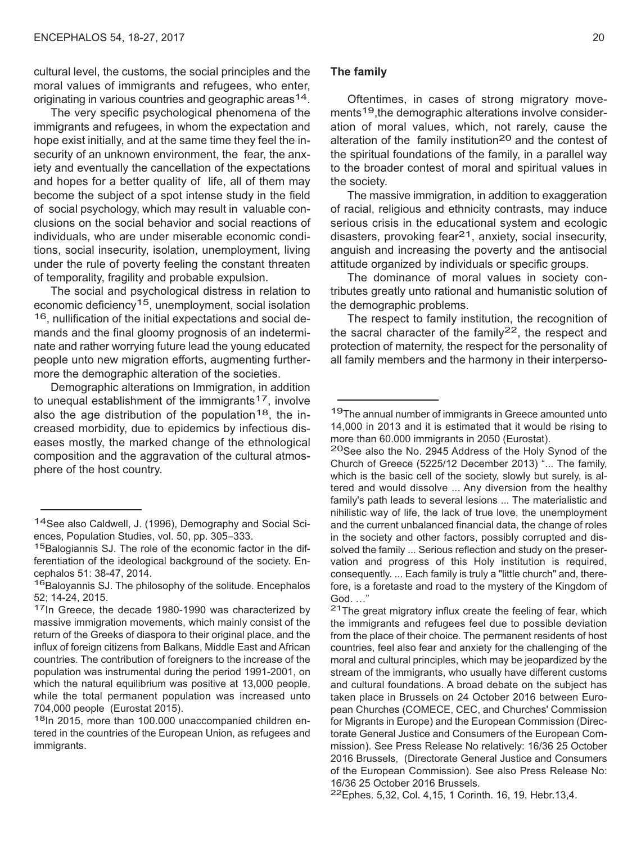cultural level, the customs, the social principles and the moral values of immigrants and refugees, who enter, originating in various countries and geographic areas<sup>14</sup>.

The very specific psychological phenomena of the immigrants and refugees, in whom the expectation and hope exist initially, and at the same time they feel the insecurity of an unknown environment, the fear, the anxiety and eventually the cancellation of the expectations and hopes for a better quality of life, all of them may become the subject of a spot intense study in the field of social psychology, which may result in valuable conclusions on the social behavior and social reactions of individuals, who are under miserable economic conditions, social insecurity, isolation, unemployment, living under the rule of poverty feeling the constant threaten of temporality, fragility and probable expulsion.

The social and psychological distress in relation to economic deficiency<sup>15</sup>, unemployment, social isolation 16, nullification of the initial expectations and social demands and the final gloomy prognosis of an indeterminate and rather worrying future lead the young educated people unto new migration efforts, augmenting furthermore the demographic alteration of the societies.

Demographic alterations on Immigration, in addition to unequal establishment of the immigrants<sup>17</sup>, involve also the age distribution of the population<sup>18</sup>, the increased morbidity, due to epidemics by infectious diseases mostly, the marked change of the ethnological composition and the aggravation of the cultural atmosphere of the host country.

tered in the countries of the European Union, as refugees and immigrants.

## **The family**

Oftentimes, in cases of strong migratory movements<sup>19</sup>, the demographic alterations involve consideration of moral values, which, not rarely, cause the alteration of the family institution<sup>20</sup> and the contest of the spiritual foundations of the family, in a parallel way to the broader contest of moral and spiritual values in the society.

The massive immigration, in addition to exaggeration of racial, religious and ethnicity contrasts, may induce serious crisis in the educational system and ecologic disasters, provoking fear<sup>21</sup>, anxiety, social insecurity, anguish and increasing the poverty and the antisocial attitude organized by individuals or specific groups.

The dominance of moral values in society contributes greatly unto rational and humanistic solution of the demographic problems.

The respect to family institution, the recognition of the sacral character of the family<sup>22</sup>, the respect and protection of maternity, the respect for the personality of all family members and the harmony in their interperso-

the immigrants and refugees feel due to possible deviation from the place of their choice. The permanent residents of host countries, feel also fear and anxiety for the challenging of the moral and cultural principles, which may be jeopardized by the stream of the immigrants, who usually have different customs and cultural foundations. A broad debate on the subject has taken place in Brussels on 24 October 2016 between European Churches (COMECE, CEC, and Churches' Commission for Migrants in Europe) and the European Commission (Directorate General Justice and Consumers of the European Commission). See Press Release No relatively: 16/36 25 October 2016 Brussels, (Directorate General Justice and Consumers of the European Commission). See also Press Release No: 16/36 25 October 2016 Brussels.<br><sup>22</sup>Ephes. 5,32, Col. 4,15, 1 Corinth. 16, 19, Hebr.13,4.

<sup>14</sup>See also Caldwell, J. (1996), Demography and Social Sciences, Population Studies, vol. 50, pp. 305–333.<br><sup>15</sup>Balogiannis SJ. The role of the economic factor in the dif-

ferentiation of the ideological background of the society. En-

cephalos 51: 38-47, 2014.<br><sup>16</sup>Baloyannis SJ. The philosophy of the solitude. Encephalos<br>52; 14-24, 2015.

 $17$ In Greece, the decade 1980-1990 was characterized by massive immigration movements, which mainly consist of the return of the Greeks of diaspora to their original place, and the influx of foreign citizens from Balkans, Middle East and African countries. The contribution of foreigners to the increase of the population was instrumental during the period 1991-2001, on which the natural equilibrium was positive at 13,000 people, while the total permanent population was increased unto 704,000 people (Eurostat 2015).<br><sup>18</sup>In 2015, more than 100.000 unaccompanied children en-

<sup>&</sup>lt;sup>19</sup>The annual number of immigrants in Greece amounted unto 14,000 in 2013 and it is estimated that it would be rising to more than 60.000 immigrants in 2050 (Eurostat).<br><sup>20</sup>See also the No. 2945 Address of the Holy Synod of the

Church of Greece (5225/12 December 2013) "... The family, which is the basic cell of the society, slowly but surely, is altered and would dissolve ... Any diversion from the healthy family's path leads to several lesions ... The materialistic and nihilistic way of life, the lack of true love, the unemployment and the current unbalanced financial data, the change of roles in the society and other factors, possibly corrupted and dissolved the family ... Serious reflection and study on the preservation and progress of this Holy institution is required, consequently. ... Each family is truly a "little church" and, therefore, is a foretaste and road to the mystery of the Kingdom of God. ..."<br><sup>21</sup>The great migratory influx create the feeling of fear, which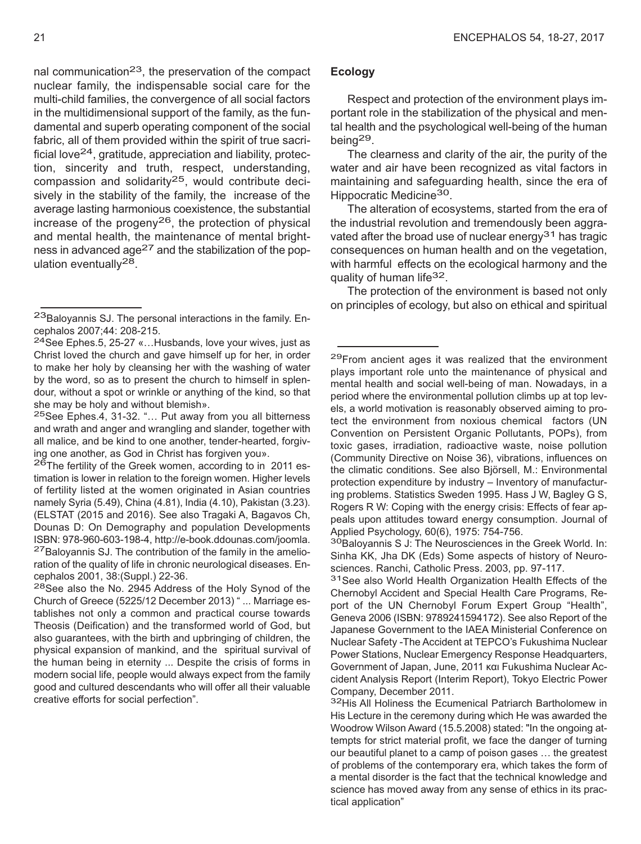nal communication<sup>23</sup>, the preservation of the compact nuclear family, the indispensable social care for the multi-child families, the convergence of all social factors in the multidimensional support of the family, as the fundamental and superb operating component of the social fabric, all of them provided within the spirit of true sacrificial love<sup>24</sup>, gratitude, appreciation and liability, protection, sincerity and truth, respect, understanding, compassion and solidarity $25$ , would contribute decisively in the stability of the family, the increase of the average lasting harmonious coexistence, the substantial increase of the progeny<sup>26</sup>, the protection of physical and mental health, the maintenance of mental brightness in advanced age<sup>27</sup> and the stabilization of the population eventually28.

# **Ecology**

Respect and protection of the environment plays important role in the stabilization of the physical and mental health and the psychological well-being of the human being29.

The clearness and clarity of the air, the purity of the water and air have been recognized as vital factors in maintaining and safeguarding health, since the era of Hippocratic Medicine30.

The alteration of ecosystems, started from the era of the industrial revolution and tremendously been aggravated after the broad use of nuclear energy<sup>31</sup> has tragic consequences on human health and on the vegetation, with harmful effects on the ecological harmony and the quality of human life<sup>32</sup>.

The protection of the environment is based not only on principles of ecology, but also on ethical and spiritual

Sinha KK, Jha DK (Eds) Some aspects of history of Neurosciences. Ranchi, Catholic Press. 2003, pp. 97-117.<br><sup>31</sup>See also World Health Organization Health Effects of the

Chernobyl Accident and Special Health Care Programs, Report of the UN Chernobyl Forum Expert Group "Health", Geneva 2006 (ISBN: 9789241594172). See also Report of the Japanese Government to the IAEA Ministerial Conference on Nuclear Safety -The Accident at TEPCO's Fukushima Nuclear Power Stations, Nuclear Emergency Response Headquarters, Government of Japan, June, 2011 και Fukushima Nuclear Accident Analysis Report (Interim Report), Tokyo Electric Power Company, December 2011.<br><sup>32</sup>His All Holiness the Ecumenical Patriarch Bartholomew in

His Lecture in the ceremony during which He was awarded the Woodrow Wilson Award (15.5.2008) stated: "In the ongoing attempts for strict material profit, we face the danger of turning our beautiful planet to a camp of poison gases … the greatest of problems of the contemporary era, which takes the form of a mental disorder is the fact that the technical knowledge and science has moved away from any sense of ethics in its practical application"

 $^{23}$ Baloyannis SJ. The personal interactions in the family. Encephalos 2007;44: 208-215.

<sup>&</sup>lt;sup>24</sup>See Ephes.5, 25-27 «...Husbands, love your wives, just as Christ loved the church and gave himself up for her, in order to make her holy by cleansing her with the washing of water by the word, so as to present the church to himself in splendour, without a spot or wrinkle or anything of the kind, so that she may be holy and without blemish».<br><sup>25</sup>See Ephes.4, 31-32. "... Put away from you all bitterness

and wrath and anger and wrangling and slander, together with all malice, and be kind to one another, tender-hearted, forgiving one another, as God in Christ has forgiven you».<br><sup>26</sup>The fertility of the Greek women, according to in 2011 es-

timation is lower in relation to the foreign women. Higher levels of fertility listed at the women originated in Asian countries namely Syria (5.49), China (4.81), India (4.10), Pakistan (3.23). (ELSTAT (2015 and 2016). See also Tragaki A, Bagavos Ch, Dounas D: On Demography and population Developments ISBN: 978-960-603-198-4, http://e-book.ddounas.com/joomla.<br><sup>27</sup>Baloyannis SJ. The contribution of the family in the amelioration of the quality of life in chronic neurological diseases. Encephalos 2001, 38: (Suppl.) 22-36.<br><sup>28</sup>See also the No. 2945 Address of the Holy Synod of the

Church of Greece (5225/12 December 2013) " ... Marriage establishes not only a common and practical course towards Theosis (Deification) and the transformed world of God, but also guarantees, with the birth and upbringing of children, the physical expansion of mankind, and the spiritual survival of the human being in eternity ... Despite the crisis of forms in modern social life, people would always expect from the family good and cultured descendants who will offer all their valuable creative efforts for social perfection".

<sup>29</sup>From ancient ages it was realized that the environment plays important role unto the maintenance of physical and mental health and social well-being of man. Nowadays, in a period where the environmental pollution climbs up at top levels, a world motivation is reasonably observed aiming to protect the environment from noxious chemical factors (UN Convention on Persistent Organic Pollutants, POPs), from toxic gases, irradiation, radioactive waste, noise pollution (Community Directive on Noise 36), vibrations, influences on the climatic conditions. See also Björsell, M.: Environmental protection expenditure by industry – Inventory of manufacturing problems. Statistics Sweden 1995. Hass J W, Bagley G S, Rogers R W: Coping with the energy crisis: Effects of fear appeals upon attitudes toward energy consumption. Journal of Applied Psychology, 60(6), 1975: 754-756.<br><sup>30</sup>Baloyannis S J: The Neurosciences in the Greek World. In: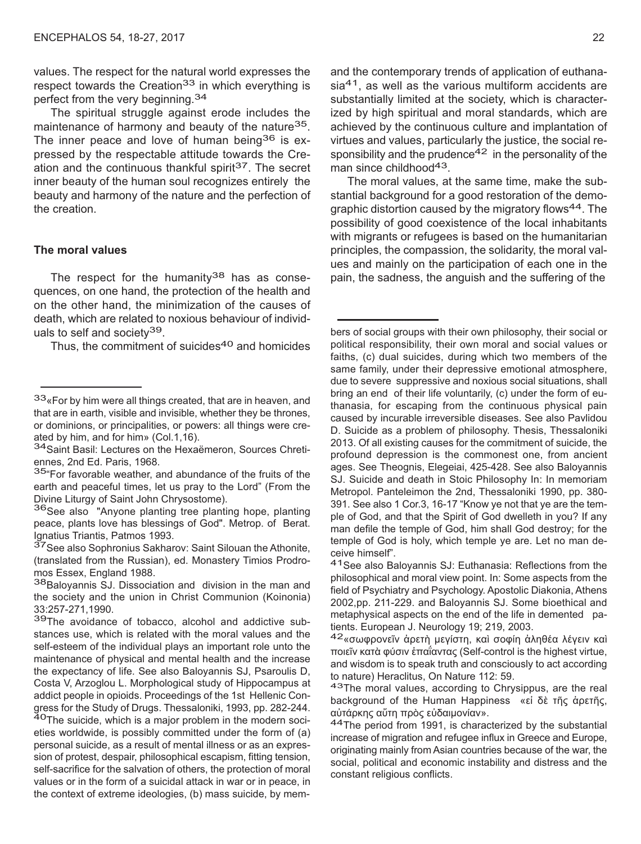values. The respect for the natural world expresses the respect towards the Creation<sup>33</sup> in which everything is perfect from the very beginning.<sup>34</sup>

The spiritual struggle against erode includes the maintenance of harmony and beauty of the nature<sup>35</sup>. The inner peace and love of human being $36$  is expressed by the respectable attitude towards the Creation and the continuous thankful spirit 37. The secret inner beauty of the human soul recognizes entirely the beauty and harmony of the nature and the perfection of the creation.

## **The moral values**

The respect for the humanity<sup>38</sup> has as consequences, on one hand, the protection of the health and on the other hand, the minimization of the causes of death, which are related to noxious behaviour of individuals to self and society<sup>39</sup>.

Thus, the commitment of suicides<sup>40</sup> and homicides

and the contemporary trends of application of euthana $sia<sup>41</sup>$ , as well as the various multiform accidents are substantially limited at the society, which is characterized by high spiritual and moral standards, which are achieved by the continuous culture and implantation of virtues and values, particularly the justice, the social responsibility and the prudence $42$  in the personality of the man since childhood<sup>43</sup>.

The moral values, at the same time, make the substantial background for a good restoration of the demographic distortion caused by the migratory flows<sup>44</sup>. The possibility of good coexistence of the local inhabitants with migrants or refugees is based on the humanitarian principles, the compassion, the solidarity, the moral values and mainly on the participation of each one in the pain, the sadness, the anguish and the suffering of the

bers of social groups with their own philosophy, their social or political responsibility, their own moral and social values or faiths, (c) dual suicides, during which two members of the same family, under their depressive emotional atmosphere, due to severe suppressive and noxious social situations, shall bring an end of their life voluntarily, (c) under the form of euthanasia, for escaping from the continuous physical pain caused by incurable irreversible diseases. See also Pavlidou D. Suicide as a problem of philosophy. Thesis, Thessaloniki 2013. Of all existing causes for the commitment of suicide, the profound depression is the commonest one, from ancient ages. See Theognis, Elegeiai, 425-428. See also Baloyannis SJ. Suicide and death in Stoic Philosophy In: In memoriam Metropol. Panteleimon the 2nd, Thessaloniki 1990, pp. 380- 391. See also 1 Cor.3, 16-17 "Know ye not that ye are the temple of God, and that the Spirit of God dwelleth in you? If any man defile the temple of God, him shall God destroy; for the temple of God is holy, which temple ye are. Let no man deceive himself".<br><sup>41</sup>See also Balovannis SJ: Euthanasia: Reflections from the

philosophical and moral view point. In: Some aspects from the field of Psychiatry and Psychology. Apostolic Diakonia, Athens 2002,pp. 211-229. and Baloyannis SJ. Some bioethical and metaphysical aspects on the end of the life in demented pa-<br>tients. European J. Neurology 19; 219, 2003.

<sup>42</sup> «σωφρονεῖν ἀρετὴ μεγίστη, καὶ σοφίη ἀληθέα λέγειν καὶ ποιεῖν κατὰ φύσιν ἐπαΐαντας (Self-control is the highest virtue, and wisdom is to speak truth and consciously to act according to nature) Heraclitus, On Nature 112: 59.<br><sup>43</sup>The moral values, according to Chrysippus, are the real

background of the Human Happiness «εἰ δὲ τῆς ἀρετῆς, αὐτάρκης αὔτη πρὸς εὐδαιμονίαν».<br><sup>44</sup>The period from 1991, is characterized by the substantial

increase of migration and refugee influx in Greece and Europe, originating mainly from Asian countries because of the war, the social, political and economic instability and distress and the constant religious conflicts.

<sup>33&</sup>lt;sub>«For by him were all things created, that are in heaven, and</sub> that are in earth, visible and invisible, whether they be thrones, or dominions, or principalities, or powers: all things were cre-<br>ated by him, and for him» (Col.1,16).

<sup>&</sup>lt;sup>34</sup> Saint Basil: Lectures on the Hexaëmeron, Sources Chreti-<br>ennes, 2nd Ed. Paris, 1968.

<sup>35&</sup>quot;For favorable weather, and abundance of the fruits of the earth and peaceful times, let us pray to the Lord" (From the Divine Liturgy of Saint John Chrysostome).<br><sup>36</sup>See also "Anyone planting tree planting hope, planting

peace, plants love has blessings of God". Metrop. of Berat. Ignatius Triantis, Patmos 1993.<br><sup>37</sup>See also Sophronius Sakharov: Saint Silouan the Athonite,

<sup>(</sup>translated from the Russian), ed. Monastery Timios Prodromos Essex, England 1988.<br><sup>38</sup>Baloyannis SJ. Dissociation and division in the man and

the society and the union in Christ Communion (Koinonia) 33:257-271,1990.<br><sup>39</sup>The avoidance of tobacco, alcohol and addictive sub-

stances use, which is related with the moral values and the self-esteem of the individual plays an important role unto the maintenance of physical and mental health and the increase the expectancy of life. See also Baloyannis SJ, Psaroulis D, Costa V, Arzoglou L. Morphological study of Hippocampus at addict people in opioids. Proceedings of the 1st Hellenic Congress for the Study of Drugs. Thessaloniki, 1993, pp. 282-244.<br><sup>40</sup>The suicide, which is a major problem in the modern societies worldwide, is possibly committed under the form of (a) personal suicide, as a result of mental illness or as an expression of protest, despair, philosophical escapism, fitting tension, self-sacrifice for the salvation of others, the protection of moral values or in the form of a suicidal attack in war or in peace, in the context of extreme ideologies, (b) mass suicide, by mem-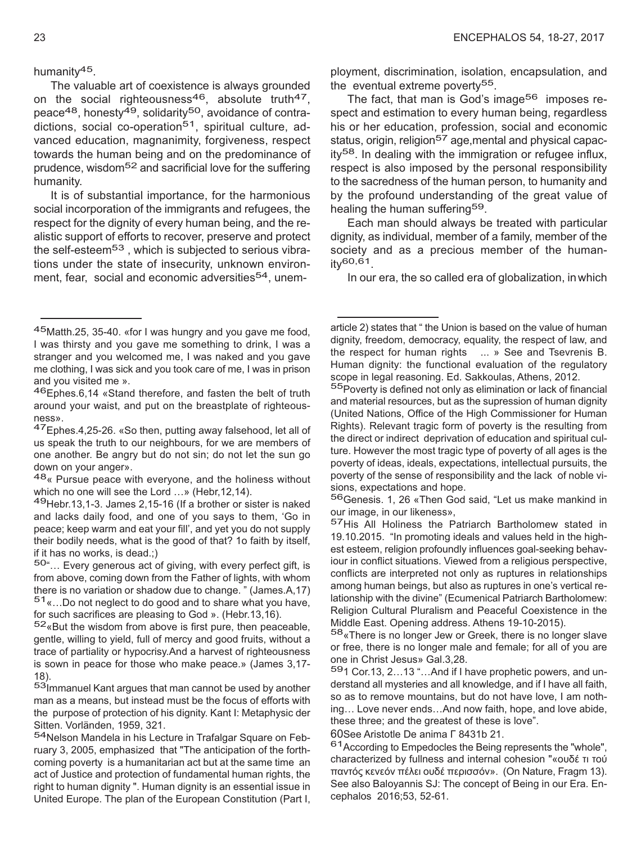humanity45.

The valuable art of coexistence is always grounded on the social righteousness<sup>46</sup>, absolute truth<sup>47</sup>, peace<sup>48</sup>, honesty<sup>49</sup>, solidarity<sup>50</sup>, avoidance of contradictions, social co-operation<sup>51</sup>, spiritual culture, advanced education, magnanimity, forgiveness, respect towards the human being and on the predominance of prudence, wisdom52 and sacrificial love for the suffering humanity.

It is of substantial importance, for the harmonious social incorporation of the immigrants and refugees, the respect for the dignity of every human being, and the realistic support of efforts to recover, preserve and protect the self-esteem<sup>53</sup>, which is subjected to serious vibrations under the state of insecurity, unknown environment, fear, social and economic adversities<sup>54</sup>, unemployment, discrimination, isolation, encapsulation, and the eventual extreme poverty<sup>55</sup>.

The fact, that man is God's image<sup>56</sup> imposes respect and estimation to every human being, regardless his or her education, profession, social and economic status, origin, religion<sup>57</sup> age, mental and physical capacity58. In dealing with the immigration or refugee influx, respect is also imposed by the personal responsibility to the sacredness of the human person, to humanity and by the profound understanding of the great value of healing the human suffering<sup>59</sup>.

Each man should always be treated with particular dignity, as individual, member of a family, member of the society and as a precious member of the human $itv$ 60,61

In our era, the so called era of globalization, inwhich

and material resources, but as the supression of human dignity (United Nations, Office of the High Commissioner for Human Rights). Relevant tragic form of poverty is the resulting from the direct or indirect deprivation of education and spiritual culture. However the most tragic type of poverty of all ages is the poverty of ideas, ideals, expectations, intellectual pursuits, the poverty of the sense of responsibility and the lack of noble visions, expectations and hope.<br><sup>56</sup>Genesis. 1, 26 «Then God said, "Let us make mankind in

our image, in our likeness»,<br><sup>57</sup>His All Holiness the Patriarch Bartholomew stated in

Middle East. Opening address. Athens 19-10-2015).<br><sup>58</sup>«There is no longer Jew or Greek, there is no longer slave or free, there is no longer male and female; for all of you are one in Christ Jesus» Gal.3,28.<br><sup>59</sup>1 Cor.13, 2…13 "…And if I have prophetic powers, and un-

derstand all mysteries and all knowledge, and if I have all faith, so as to remove mountains, but do not have love, I am nothing… Love never ends…And now faith, hope, and love abide, these three; and the greatest of these is love".

60See Aristotle De anima Γ 8431b 21.<br><sup>61</sup>According to Empedocles the Being represents the "whole", characterized by fullness and internal cohesion "«ουδέ τι τού παντός κενεόν πέλει ουδέ περισσόν». (On Nature, Fragm 13). See also Baloyannis SJ: The concept of Being in our Era. Encephalos 2016;53, 52-61.

<sup>45</sup>Matth.25, 35-40. «for <sup>I</sup> was hungry and you gave me food, I was thirsty and you gave me something to drink, I was a stranger and you welcomed me, I was naked and you gave me clothing, I was sick and you took care of me, I was in prison and you visited me ».<br><sup>46</sup>Ephes.6,14 «Stand therefore, and fasten the belt of truth

around your waist, and put on the breastplate of righteousness».<br><sup>47</sup>Ephes.4,25-26. «So then, putting away falsehood, let all of

us speak the truth to our neighbours, for we are members of one another. Be angry but do not sin; do not let the sun go down on your anger».<br><sup>48</sup> « Pursue peace with everyone, and the holiness without

which no one will see the Lord …» (Hebr, 12, 14).<br><sup>49</sup>Hebr. 13, 1-3. James 2, 15-16 (If a brother or sister is naked

and lacks daily food, and one of you says to them, 'Go in peace; keep warm and eat your fill', and yet you do not supply their bodily needs, what is the good of that? 1o faith by itself, if it has no works, is dead.;)

<sup>50&</sup>quot;… Every generous act of giving, with every perfect gift, is from above, coming down from the Father of lights, with whom there is no variation or shadow due to change. " (James.Α,17)  $51$ «...Do not neglect to do good and to share what you have, for such sacrifices are pleasing to God ». (Hebr.13,16).

 $52$ «But the wisdom from above is first pure, then peaceable, gentle, willing to yield, full of mercy and good fruits, without a trace of partiality or hypocrisy.And a harvest of righteousness is sown in peace for those who make peace.» (James 3,17- 18).<br><sup>53</sup>Immanuel Kant argues that man cannot be used by another

man as a means, but instead must be the focus of efforts with the purpose of protection of his dignity. Kant I: Metaphysic der Sitten. Vorländen, 1959, 321.<br><sup>54</sup>Nelson Mandela in his Lecture in Trafalgar Square on Feb-

ruary 3, 2005, emphasized that "The anticipation of the forthcoming poverty is a humanitarian act but at the same time an act of Justice and protection of fundamental human rights, the right to human dignity ". Human dignity is an essential issue in United Europe. The plan of the European Constitution (Part I,

article 2) states that " the Union is based on the value of human dignity, freedom, democracy, equality, the respect of law, and the respect for human rights ... » See and Tsevrenis B. Human dignity: the functional evaluation of the regulatory scope in legal reasoning. Ed. Sakkoulas, Athens, 2012.<br><sup>55</sup>Poverty is defined not only as elimination or lack of financial

<sup>19.10.2015.</sup> "In promoting ideals and values held in the highest esteem, religion profoundly influences goal-seeking behaviour in conflict situations. Viewed from a religious perspective, conflicts are interpreted not only as ruptures in relationships among human beings, but also as ruptures in one's vertical relationship with the divine" (Ecumenical Patriarch Bartholomew: Religion Cultural Pluralism and Peaceful Coexistence in the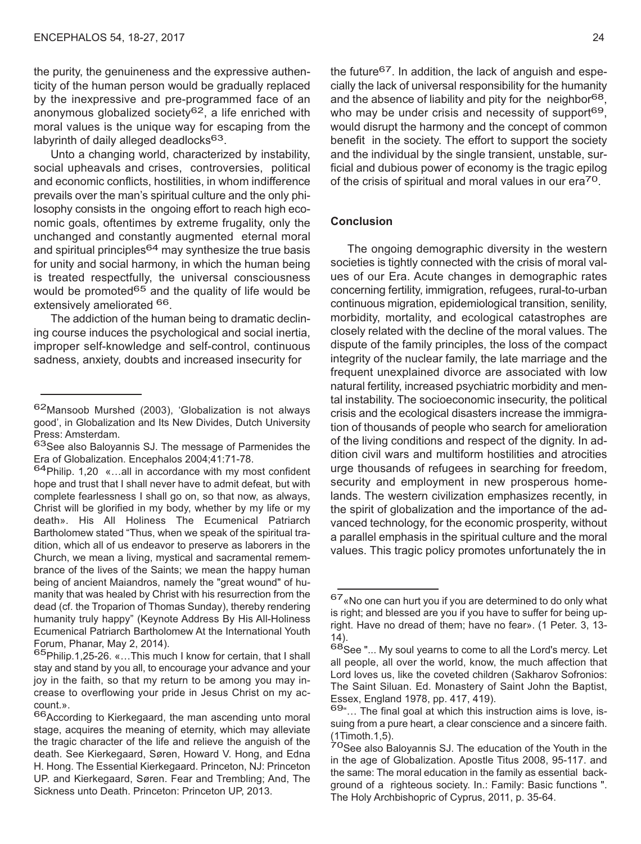the purity, the genuineness and the expressive authenticity of the human person would be gradually replaced by the inexpressive and pre-programmed face of an anonymous globalized society<sup>62</sup>, a life enriched with moral values is the unique way for escaping from the labyrinth of daily alleged deadlocks<sup>63</sup>.

Unto a changing world, characterized by instability, social upheavals and crises, controversies, political and economic conflicts, hostilities, in whom indifference prevails over the man's spiritual culture and the only philosophy consists in the ongoing effort to reach high economic goals, oftentimes by extreme frugality, only the unchanged and constantly augmented eternal moral and spiritual principles $64$  may synthesize the true basis for unity and social harmony, in which the human being is treated respectfully, the universal consciousness would be promoted $65$  and the quality of life would be extensively ameliorated <sup>66</sup>.

The addiction of the human being to dramatic declining course induces the psychological and social inertia, improper self-knowledge and self-control, continuous sadness, anxiety, doubts and increased insecurity for

the future<sup>67</sup>. In addition, the lack of anguish and especially the lack of universal responsibility for the humanity and the absence of liability and pity for the neighbor<sup>68</sup>, who may be under crisis and necessity of support<sup>69</sup>, would disrupt the harmony and the concept of common benefit in the society. The effort to support the society and the individual by the single transient, unstable, surficial and dubious power of economy is the tragic epilog of the crisis of spiritual and moral values in our era70.

## **Conclusion**

The ongoing demographic diversity in the western societies is tightly connected with the crisis of moral values of our Era. Acute changes in demographic rates concerning fertility, immigration, refugees, rural-to-urban continuous migration, epidemiological transition, senility, morbidity, mortality, and ecological catastrophes are closely related with the decline of the moral values. The dispute of the family principles, the loss of the compact integrity of the nuclear family, the late marriage and the frequent unexplained divorce are associated with low natural fertility, increased psychiatric morbidity and mental instability. The socioeconomic insecurity, the political crisis and the ecological disasters increase the immigration of thousands of people who search for amelioration of the living conditions and respect of the dignity. In addition civil wars and multiform hostilities and atrocities urge thousands of refugees in searching for freedom, security and employment in new prosperous homelands. The western civilization emphasizes recently, in the spirit of globalization and the importance of the advanced technology, for the economic prosperity, without a parallel emphasis in the spiritual culture and the moral values. This tragic policy promotes unfortunately the in

<sup>62</sup>Mansoob Murshed (2003), 'Globalization is not always good', in Globalization and Its New Divides, Dutch University

Press: Amsterdam.<br><sup>63</sup>See also Baloyannis SJ. The message of Parmenides the<br>Era of Globalization. Encephalos 2004;41:71-78.

 $64$ Philip. 1,20 «...all in accordance with my most confident hope and trust that I shall never have to admit defeat, but with complete fearlessness I shall go on, so that now, as always, Christ will be glorified in my body, whether by my life or my death». His All Holiness The Ecumenical Patriarch Bartholomew stated "Thus, when we speak of the spiritual tradition, which all of us endeavor to preserve as laborers in the Church, we mean a living, mystical and sacramental remembrance of the lives of the Saints; we mean the happy human being of ancient Maiandros, namely the "great wound" of humanity that was healed by Christ with his resurrection from the dead (cf. the Troparion of Thomas Sunday), thereby rendering humanity truly happy" (Keynote Address By His All-Holiness Ecumenical Patriarch Bartholomew At the International Youth Forum, Phanar, May 2, 2014).<br><sup>65</sup>Philip.1,25-26. «…This much I know for certain, that I shall

stay and stand by you all, to encourage your advance and your joy in the faith, so that my return to be among you may increase to overflowing your pride in Jesus Christ on my account.».<br><sup>66</sup>According to Kierkegaard, the man ascending unto moral

stage, acquires the meaning of eternity, which may alleviate the tragic character of the life and relieve the anguish of the death. See Kierkegaard, Søren, Howard V. Hong, and Edna H. Hong. The Essential Kierkegaard. Princeton, NJ: Princeton UP. and Kierkegaard, Søren. Fear and Trembling; And, The Sickness unto Death. Princeton: Princeton UP, 2013.

<sup>67«</sup>No one can hurt you if you are determined to do only what is right; and blessed are you if you have to suffer for being upright. Have no dread of them; have no fear». (1 Peter. 3, 13-

<sup>14).&</sup>lt;br><sup>68</sup>See "... My soul yearns to come to all the Lord's mercy. Let all people, all over the world, know, the much affection that Lord loves us, like the coveted children (Sakharov Sofronios: The Saint Siluan. Ed. Monastery of Saint John the Baptist, Essex, England 1978, pp. 417, 419).<br><sup>69</sup>"… The final goal at which this instruction aims is love, is-

suing from a pure heart, a clear conscience and a sincere faith.

<sup>(1</sup>Timoth.1,5).<br><sup>70</sup>See also Baloyannis SJ. The education of the Youth in the in the age of Globalization. Apostle Titus 2008, 95-117. and the same: The moral education in the family as essential background of a righteous society. In.: Family: Basic functions ". The Holy Archbishopric of Cyprus, 2011, p. 35-64.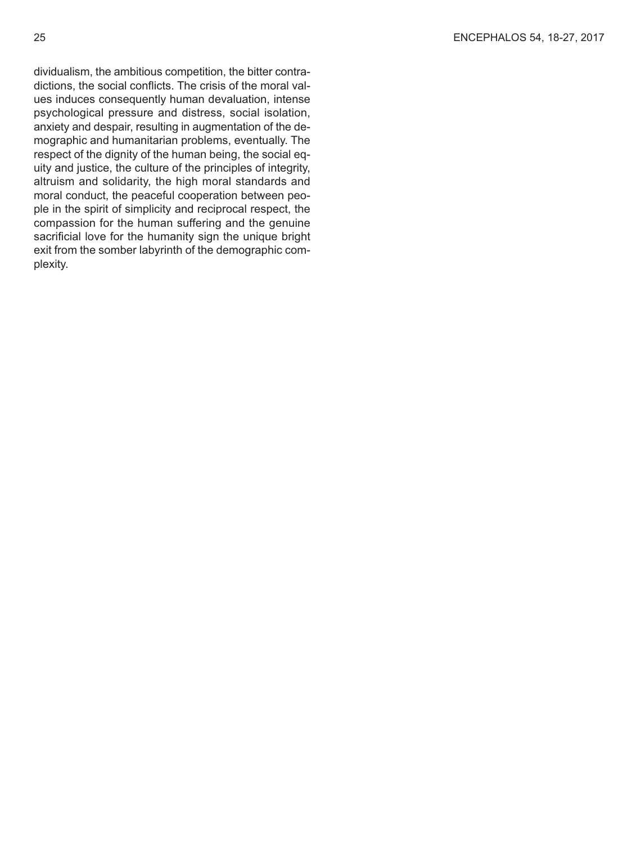dividualism, the ambitious competition, the bitter contradictions, the social conflicts. The crisis of the moral values induces consequently human devaluation, intense psychological pressure and distress, social isolation, anxiety and despair, resulting in augmentation of the demographic and humanitarian problems, eventually. The respect of the dignity of the human being, the social equity and justice, the culture of the principles of integrity, altruism and solidarity, the high moral standards and moral conduct, the peaceful cooperation between people in the spirit of simplicity and reciprocal respect, the compassion for the human suffering and the genuine sacrificial love for the humanity sign the unique bright exit from the somber labyrinth of the demographic complexity.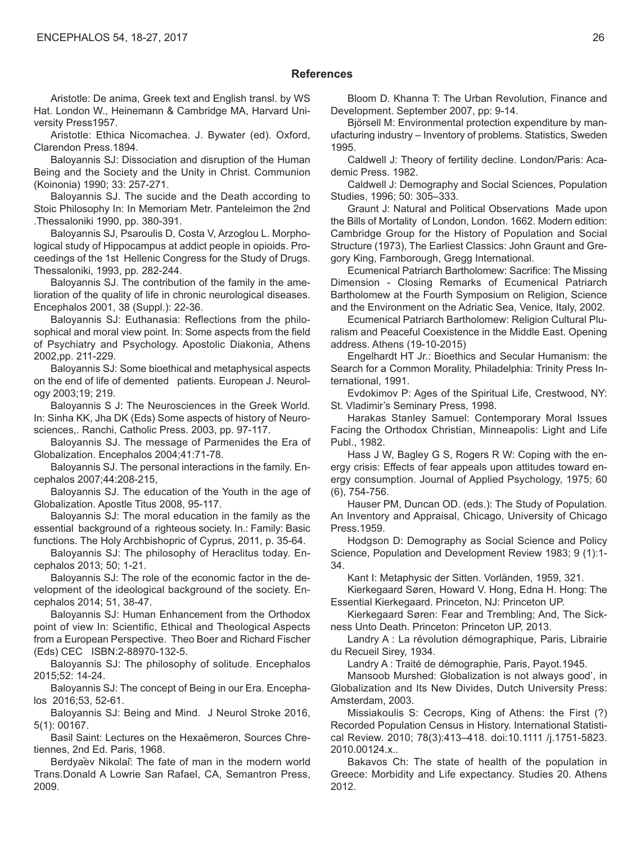#### **References**

Aristotle: De anima, Greek text and English transl. by WS Hat. London W., Heinemann & Cambridge MA, Harvard University Press1957.

Aristotle: Ethica Nicomachea. J. Bywater (ed). Oxford, Clarendon Press.1894.

Baloyannis SJ: Dissociation and disruption of the Human Being and the Society and the Unity in Christ. Communion (Koinonia) 1990; 33: 257-271.

Baloyannis SJ. The sucide and the Death according to Stoic Philosophy In: In Memoriam Metr. Panteleimon the 2nd .Thessaloniki 1990, pp. 380-391.

Baloyannis SJ, Psaroulis D, Costa V, Arzoglou L. Morphological study of Hippocampus at addict people in opioids. Proceedings of the 1st Hellenic Congress for the Study of Drugs. Thessaloniki, 1993, pp. 282-244.

Baloyannis SJ. The contribution of the family in the amelioration of the quality of life in chronic neurological diseases. Encephalos 2001, 38 (Suppl.): 22-36.

Baloyannis SJ: Euthanasia: Reflections from the philosophical and moral view point. In: Some aspects from the field of Psychiatry and Psychology. Apostolic Diakonia, Athens 2002,pp. 211-229.

Baloyannis SJ: Some bioethical and metaphysical aspects on the end of life of demented patients. European J. Neurology 2003;19; 219.

Baloyannis S J: The Neurosciences in the Greek World. In: Sinha KK, Jha DK (Eds) Some aspects of history of Neurosciences,. Ranchi, Catholic Press. 2003, pp. 97-117.

Baloyannis SJ. The message of Parmenides the Era of Globalization. Encephalos 2004;41:71-78.

Baloyannis SJ. The personal interactions in the family. Encephalos 2007;44:208-215,

Baloyannis SJ. The education of the Youth in the age of Globalization. Apostle Titus 2008, 95-117.

Baloyannis SJ: The moral education in the family as the essential background of a righteous society. In.: Family: Basic functions. The Holy Archbishopric of Cyprus, 2011, p. 35-64.

Baloyannis SJ: The philosophy of Heraclitus today. Encephalos 2013; 50; 1-21.

Baloyannis SJ: The role of the economic factor in the development of the ideological background of the society. Encephalos 2014; 51, 38-47.

Baloyannis SJ: Human Enhancement from the Orthodox point of view In: Scientific, Ethical and Theological Aspects from a European Perspective. Theo Boer and Richard Fischer (Eds) CEC ISBN:2-88970-132-5.

Baloyannis SJ: The philosophy of solitude. Encephalos 2015;52: 14-24.

Baloyannis SJ: The concept of Being in our Era. Encephalos 2016;53, 52-61.

Baloyannis SJ: Being and Mind. J Neurol Stroke 2016, 5(1): 00167.

Basil Saint: Lectures on the Hexaëmeron, Sources Chretiennes, 2nd Ed. Paris, 1968.

Berdyaev Nikolai: The fate of man in the modern world Trans.Donald A Lowrie San Rafael, CA, Semantron Press, 2009.

Bloom D. Khanna T: The Urban Revolution, Finance and Development. September 2007, pp: 9-14.

Björsell M: Environmental protection expenditure by manufacturing industry – Inventory of problems. Statistics, Sweden 1995.

Caldwell J: Theory of fertility decline. London/Paris: Academic Press. 1982.

Caldwell J: Demography and Social Sciences, Population Studies, 1996; 50: 305–333.

Graunt J: Natural and Political Observations Made upon the Bills of Mortality of London, London. 1662. Modern edition: Cambridge Group for the History of Population and Social Structure (1973), The Earliest Classics: John Graunt and Gregory King, Farnborough, Gregg International.

Ecumenical Patriarch Bartholomew: Sacrifice: The Missing Dimension - Closing Remarks of Ecumenical Patriarch Bartholomew at the Fourth Symposium on Religion, Science and the Environment on the Adriatic Sea, Venice, Italy, 2002.

Ecumenical Patriarch Bartholomew: Religion Cultural Pluralism and Peaceful Coexistence in the Middle East. Opening address. Athens (19-10-2015)

Engelhardt HT Jr.: Bioethics and Secular Humanism: the Search for a Common Morality, Philadelphia: Trinity Press International, 1991.

Evdokimov P: Ages of the Spiritual Life, Crestwood, NY: St. Vladimir's Seminary Press, 1998.

Harakas Stanley Samuel: Contemporary Moral Issues Facing the Orthodox Christian, Minneapolis: Light and Life Publ., 1982.

Hass J W, Bagley G S, Rogers R W: Coping with the energy crisis: Effects of fear appeals upon attitudes toward energy consumption. Journal of Applied Psychology, 1975; 60 (6), 754-756.

Hauser PM, Duncan OD. (eds.): The Study of Population. An Inventory and Appraisal, Chicago, University of Chicago Press.1959.

Hodgson D: Demography as Social Science and Policy Science, Population and Development Review 1983; 9 (1):1- 34.

Kant I: Metaphysic der Sitten. Vorländen, 1959, 321.

Kierkegaard Søren, Howard V. Hong, Edna H. Hong: The Essential Kierkegaard. Princeton, NJ: Princeton UP.

Kierkegaard Søren: Fear and Trembling; And, The Sickness Unto Death. Princeton: Princeton UP, 2013.

Landry A : La révolution démographique, Paris, Librairie du Recueil Sirey, 1934.

Landry A : Traité de démographie, Paris, Payot.1945.

Mansoob Murshed: Globalization is not always good', in Globalization and Its New Divides, Dutch University Press: Amsterdam, 2003.

Missiakoulis S: Cecrops, King of Athens: the First (?) Recorded Population Census in History. International Statistical Review. 2010; 78(3):413–418. doi:10.1111 /j.1751-5823. 2010.00124.x..

Bakavos Ch: The state of health of the population in Greece: Morbidity and Life expectancy. Studies 20. Athens 2012.